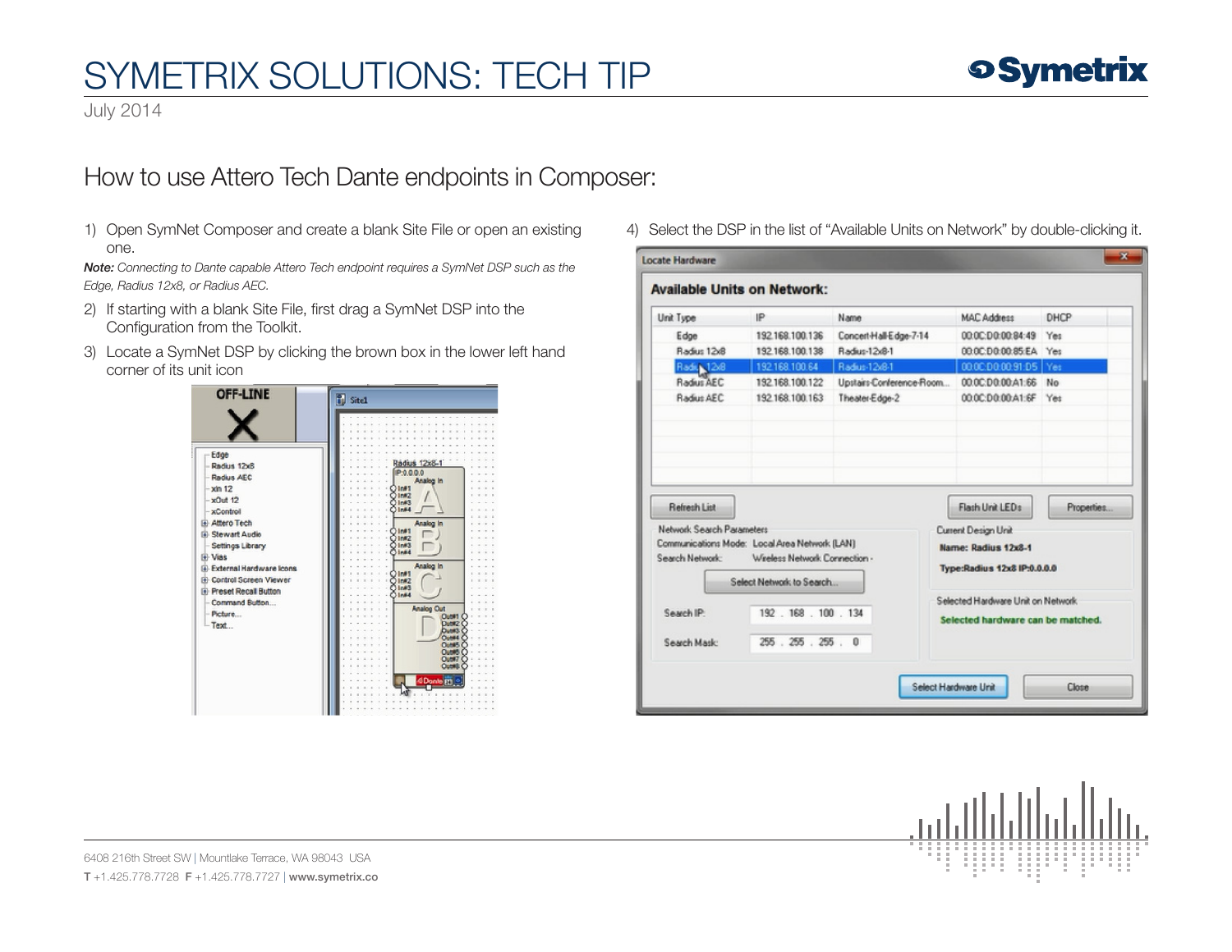July 2014

#### How to use Attero Tech Dante endpoints in Composer:

1) Open SymNet Composer and create a blank Site File or open an existing one.

*Note: Connecting to Dante capable Attero Tech endpoint requires a SymNet DSP such as the Edge, Radius 12x8, or Radius AEC.*

- 2) If starting with a blank Site File, first drag a SymNet DSP into the Configuration from the Toolkit.
- 3) Locate a SymNet DSP by clicking the brown box in the lower left hand corner of its unit icon



4) Select the DSP in the list of "Available Units on Network" by double-clicking it.

|                                                                     | IP                                                                                                         | Name                     | <b>MAC Address</b>                                                                           | DHCP       |
|---------------------------------------------------------------------|------------------------------------------------------------------------------------------------------------|--------------------------|----------------------------------------------------------------------------------------------|------------|
| Unit Type                                                           |                                                                                                            |                          |                                                                                              |            |
| Edge                                                                | 192.168.100.136                                                                                            | Concert-Hall-Edge-7-14   | 00:00:00:00:84:49 Yes                                                                        |            |
| Radius 12x8                                                         | 192.168.100.138                                                                                            | Radius-12x8-1            | 00:00:D0:00:85:EA Yes                                                                        |            |
| Radio 12x8                                                          | 192 168 100 64                                                                                             | Radius-12x8-1            | 00.00.D0.00.91:D5 Yes                                                                        |            |
| Radius AEC                                                          | 192 168 100 122                                                                                            | Upstairs-Conference-Room | 000CD000A1:66 No                                                                             |            |
| Radius AEC                                                          | 192.168.100.163                                                                                            | Theater-Edge-2           | 00.00:D0:00:A1:6F Yes                                                                        |            |
| <b>Refresh List</b><br>Network Search Parameters<br>Search Network: | Communications Mode: Local Area Network (LAN)<br>Wireless Network Connection -<br>Select Network to Search |                          | Flash Unit LEDs<br>Current Design Unit<br>Name: Radius 12x8-1<br>Type:Radius 12x8 IP:0.0.0.0 | Properties |
|                                                                     |                                                                                                            |                          |                                                                                              |            |
| Search IP:                                                          | 192 . 168 . 100 . 134                                                                                      |                          | Selected Hardware Linit on Network<br>Selected hardware can be matched.                      |            |

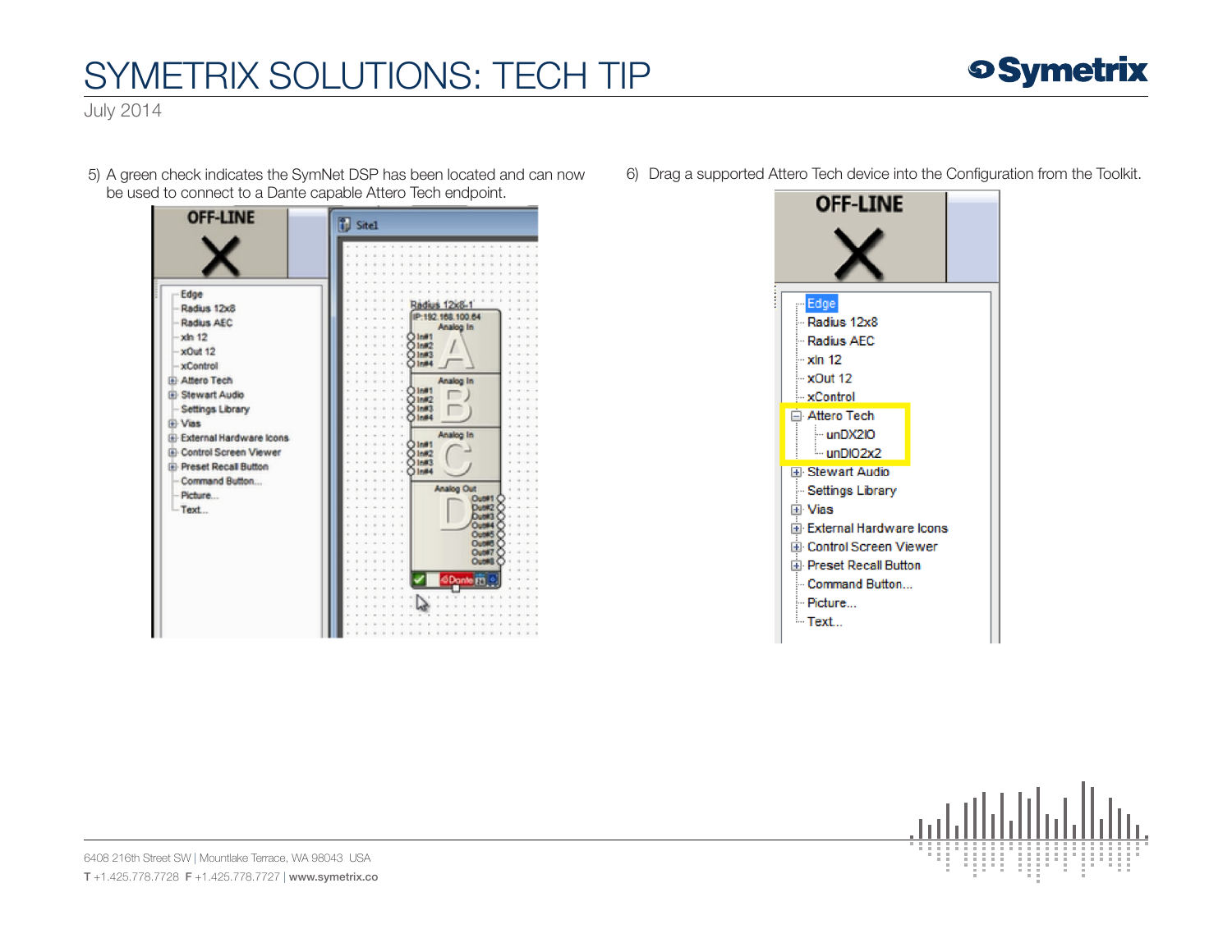July 2014

 5) A green check indicates the SymNet DSP has been located and can now be used to connect to a Dante capable Attero Tech endpoint.



6) Drag a supported Attero Tech device into the Configuration from the Toolkit.



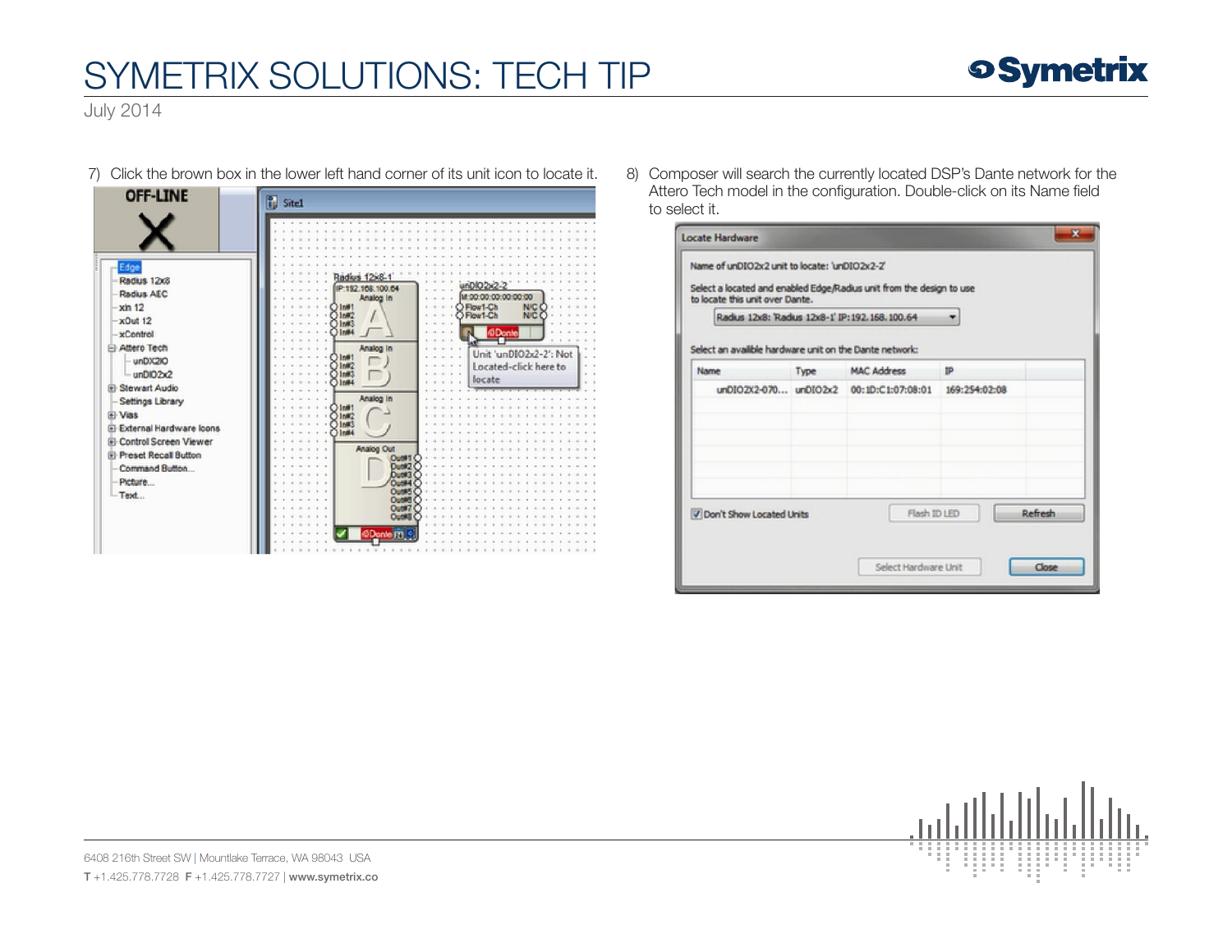

July 2014

7) Click the brown box in the lower left hand corner of its unit icon to locate it. 8) Composer will search the currently located DSP's Dante network for the



Attero Tech model in the configuration. Double-click on its Name field to select it.

| to locate this unit over Dante.<br>Radus 12x8: Radus 12x8-1' IP:192.168.100.64 |      |                                         |               |         |
|--------------------------------------------------------------------------------|------|-----------------------------------------|---------------|---------|
| Select an availble hardware unit on the Dante network:<br>Name                 | Type | <b>MAC Address</b>                      | æ             |         |
|                                                                                |      | unDIO2X2-070 unDIO2x2 00:1D:C1:07:08:01 | 169:254:02:08 |         |
| V Don't Show Located Units                                                     |      | Flash ID LFD                            |               | Refresh |



6408 216th Street SW | Mountlake Terrace, WA 98043 USA T +1.425.778.7728 F +1.425.778.7727 | www.symetrix.co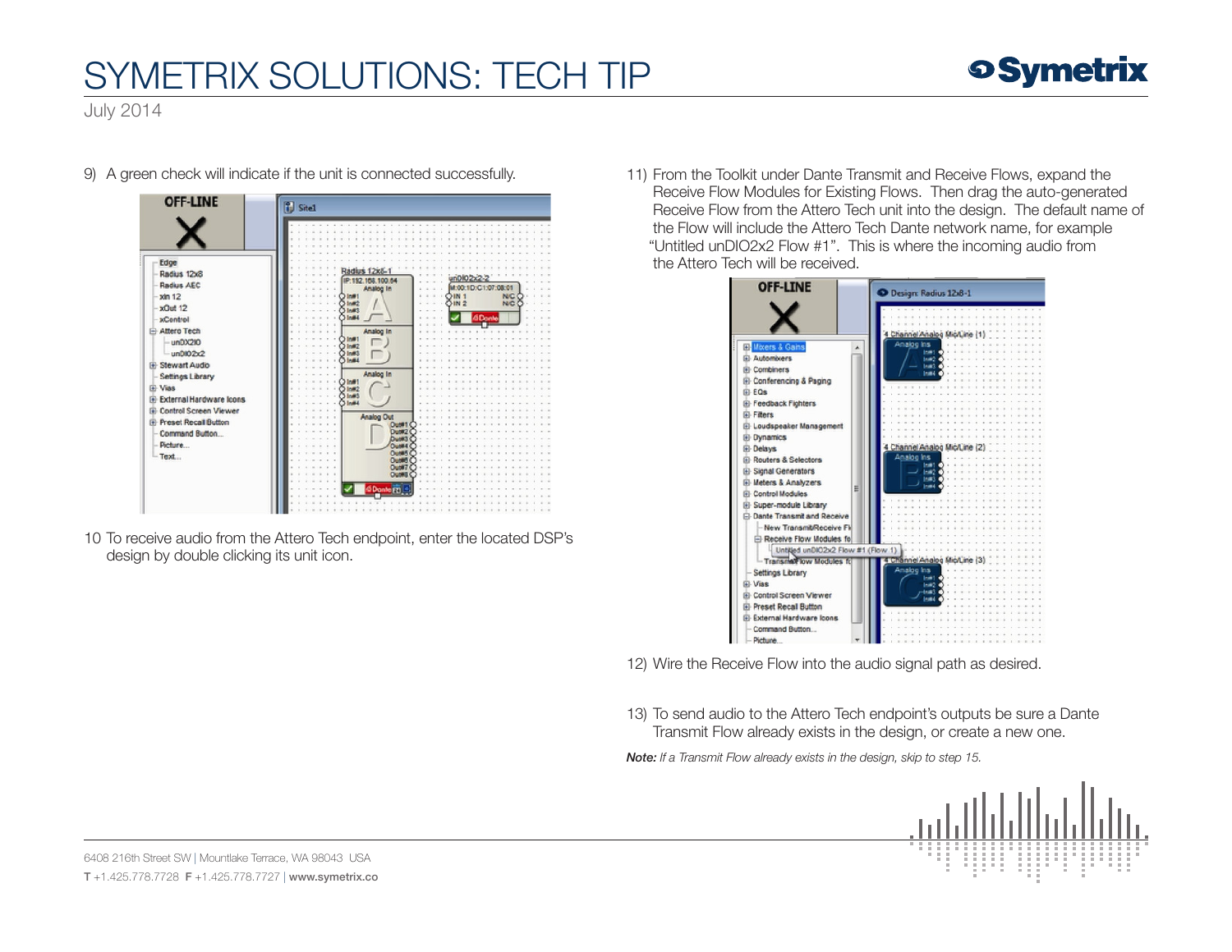

July 2014



9) A green check will indicate if the unit is connected successfully.

10 To receive audio from the Attero Tech endpoint, enter the located DSP's design by double clicking its unit icon.

11) From the Toolkit under Dante Transmit and Receive Flows, expand the Receive Flow Modules for Existing Flows. Then drag the auto-generated Receive Flow from the Attero Tech unit into the design. The default name of the Flow will include the Attero Tech Dante network name, for example "Untitled unDIO2x2 Flow #1". This is where the incoming audio from the Attero Tech will be received.



12) Wire the Receive Flow into the audio signal path as desired.

13) To send audio to the Attero Tech endpoint's outputs be sure a Dante Transmit Flow already exists in the design, or create a new one.

*Note: If a Transmit Flow already exists in the design, skip to step 15.*

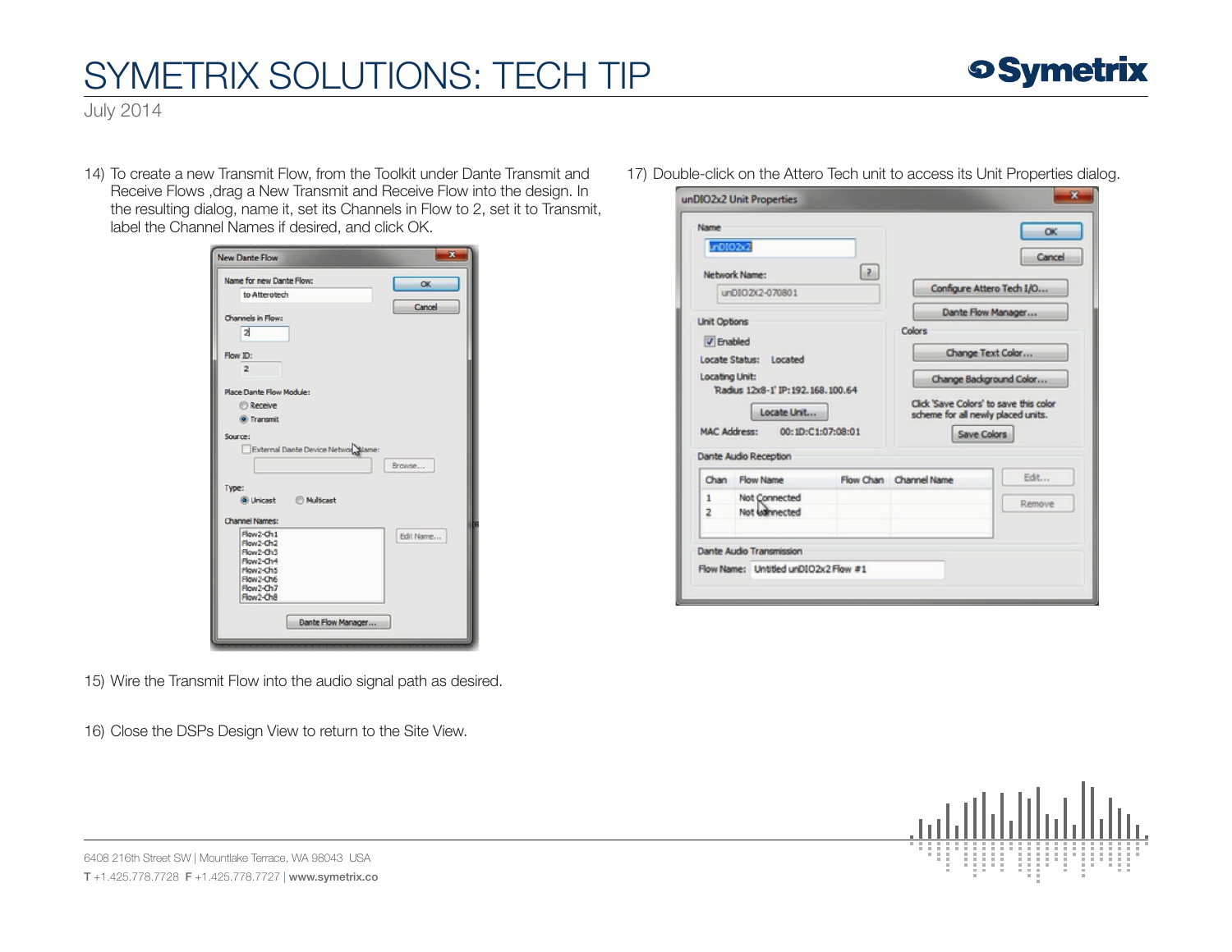July 2014

14) To create a new Transmit Flow, from the Toolkit under Dante Transmit and Receive Flows ,drag a New Transmit and Receive Flow into the design. In the resulting dialog, name it, set its Channels in Flow to 2, set it to Transmit, label the Channel Names if desired, and click OK.

| Name for new Dante Flow:<br>to Atterotech | CK        |
|-------------------------------------------|-----------|
|                                           | Cancel    |
| Channels in Flow:                         |           |
| $\mathbf{z}$                              |           |
| Flow ID:                                  |           |
| $\overline{2}$                            |           |
| <b>Place Dante Flow Module:</b>           |           |
| <b>C</b> Receive                          |           |
| <b>O</b> Transmit                         |           |
| Source:                                   |           |
| External Dante Device Network Mame:       |           |
|                                           | Browse    |
| Type:                                     |           |
| <b>O</b> Unicast<br>C Multicast           |           |
|                                           |           |
| Channel Names:<br>Flow2-Ch1               |           |
| Flow2-Ch2                                 | Edit Name |
| Flow2-Ch3                                 |           |
| Flow2-Ch4<br>Flow2-Ch5                    |           |
| Flow2-Ch6                                 |           |
| Flow2-Ch7<br>Flow2-Ch8                    |           |
|                                           |           |
| Dante Flow Manager                        |           |
|                                           |           |

17) Double-click on the Attero Tech unit to access its Unit Properties dialog.

| Name<br>urDIO2x2                                                          |                                                                                                                                  |                           |                                                                                                              | ок<br>Cancel                                                       |
|---------------------------------------------------------------------------|----------------------------------------------------------------------------------------------------------------------------------|---------------------------|--------------------------------------------------------------------------------------------------------------|--------------------------------------------------------------------|
| $\overline{\mathbf{z}}$<br>Network Name:<br>unDIO2X2-070801               |                                                                                                                                  | Configure Attero Tech I/O |                                                                                                              |                                                                    |
| <b>Unit Options</b><br>V Enabled<br>Locating Unit:<br><b>MAC Address:</b> | Locate Status: Located<br>Radus 12x8-1' IP: 192, 168, 100.64<br>Locate Unit<br>00:10:C1:07:08:01<br><b>Dante Audio Reception</b> |                           | Colors<br>Click 'Save Colors' to save this color<br>scheme for all newly placed units.<br><b>Save Colors</b> | Dante Flow Manager<br>Change Text Color<br>Change Background Color |
| Chan                                                                      | Flow Name                                                                                                                        |                           | Flow Chan Channel Name                                                                                       | Edit                                                               |
| $\mathbf{1}$<br>$\overline{2}$                                            | Not Connected<br>Not ushmected                                                                                                   |                           |                                                                                                              | Remove                                                             |
|                                                                           | Dante Audio Transmission                                                                                                         |                           |                                                                                                              |                                                                    |

15) Wire the Transmit Flow into the audio signal path as desired.

16) Close the DSPs Design View to return to the Site View.